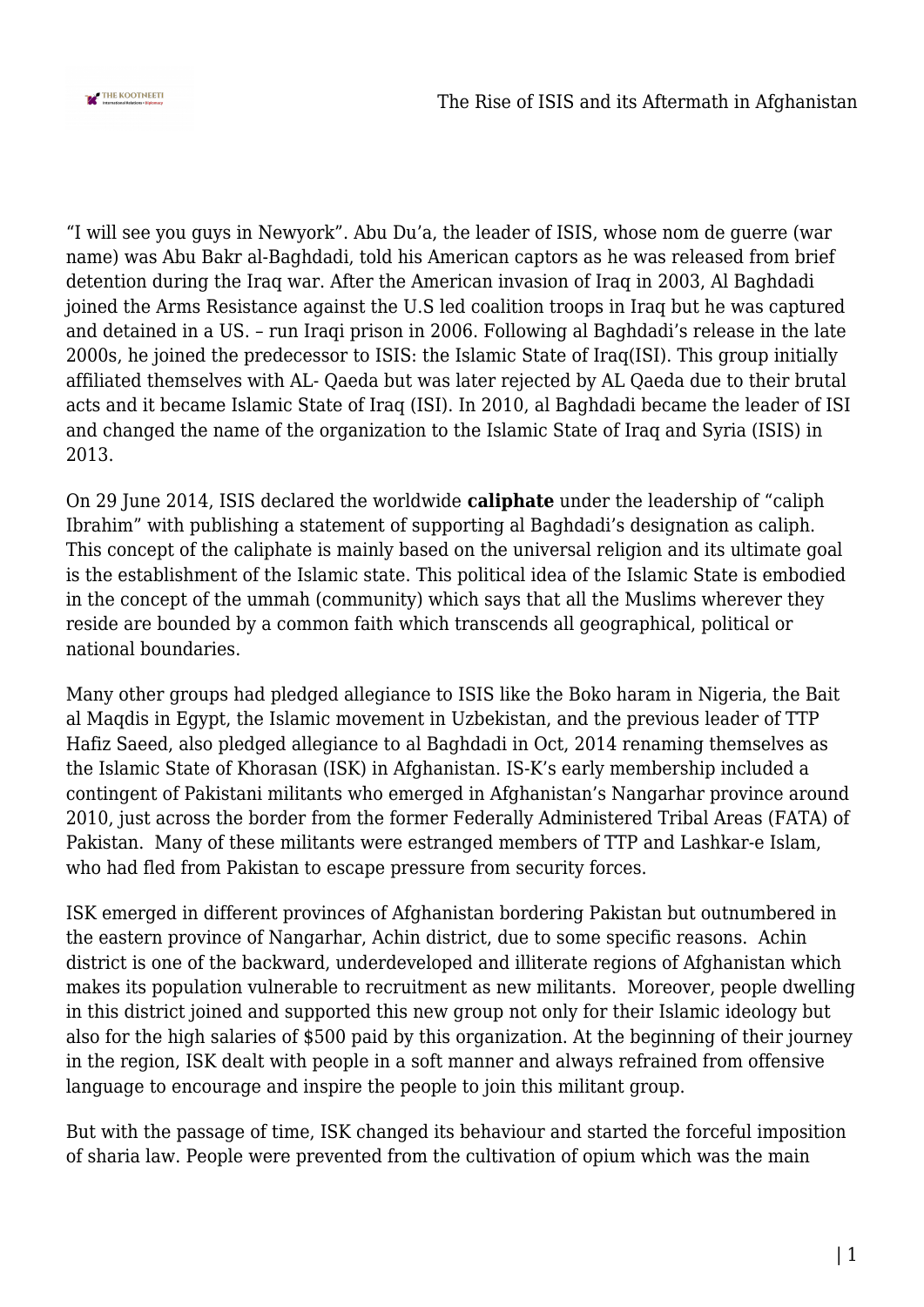

"I will see you guys in Newyork". Abu Du'a, the leader of ISIS, whose nom de guerre (war name) was Abu Bakr al-Baghdadi, told his American captors as he was released from brief detention during the Iraq war. After the American invasion of Iraq in 2003, Al Baghdadi joined the Arms Resistance against the U.S led coalition troops in Iraq but he was captured and detained in a US. – run Iraqi prison in 2006. Following al Baghdadi's release in the late 2000s, he joined the predecessor to ISIS: the Islamic State of Iraq(ISI). This group initially affiliated themselves with AL- Qaeda but was later rejected by AL Qaeda due to their brutal acts and it became Islamic State of Iraq (ISI). In 2010, al Baghdadi became the leader of ISI and changed the name of the organization to the Islamic State of Iraq and Syria (ISIS) in 2013.

On 29 June 2014, ISIS declared the worldwide **caliphate** under the leadership of "caliph Ibrahim" with publishing a statement of supporting al Baghdadi's designation as caliph. This concept of the caliphate is mainly based on the universal religion and its ultimate goal is the establishment of the Islamic state. This political idea of the Islamic State is embodied in the concept of the ummah (community) which says that all the Muslims wherever they reside are bounded by a common faith which transcends all geographical, political or national boundaries.

Many other groups had pledged allegiance to ISIS like the Boko haram in Nigeria, the Bait al Maqdis in Egypt, the Islamic movement in Uzbekistan, and the previous leader of TTP Hafiz Saeed, also pledged allegiance to al Baghdadi in Oct, 2014 renaming themselves as the Islamic State of Khorasan (ISK) in Afghanistan. IS-K's early membership included a contingent of Pakistani militants who emerged in Afghanistan's Nangarhar province around 2010, just across the border from the former Federally Administered Tribal Areas (FATA) of Pakistan. Many of these militants were estranged members of TTP and Lashkar-e Islam, who had fled from Pakistan to escape pressure from security forces.

ISK emerged in different provinces of Afghanistan bordering Pakistan but outnumbered in the eastern province of Nangarhar, Achin district, due to some specific reasons. Achin district is one of the backward, underdeveloped and illiterate regions of Afghanistan which makes its population vulnerable to recruitment as new militants. Moreover, people dwelling in this district joined and supported this new group not only for their Islamic ideology but also for the high salaries of \$500 paid by this organization. At the beginning of their journey in the region, ISK dealt with people in a soft manner and always refrained from offensive language to encourage and inspire the people to join this militant group.

But with the passage of time, ISK changed its behaviour and started the forceful imposition of sharia law. People were prevented from the cultivation of opium which was the main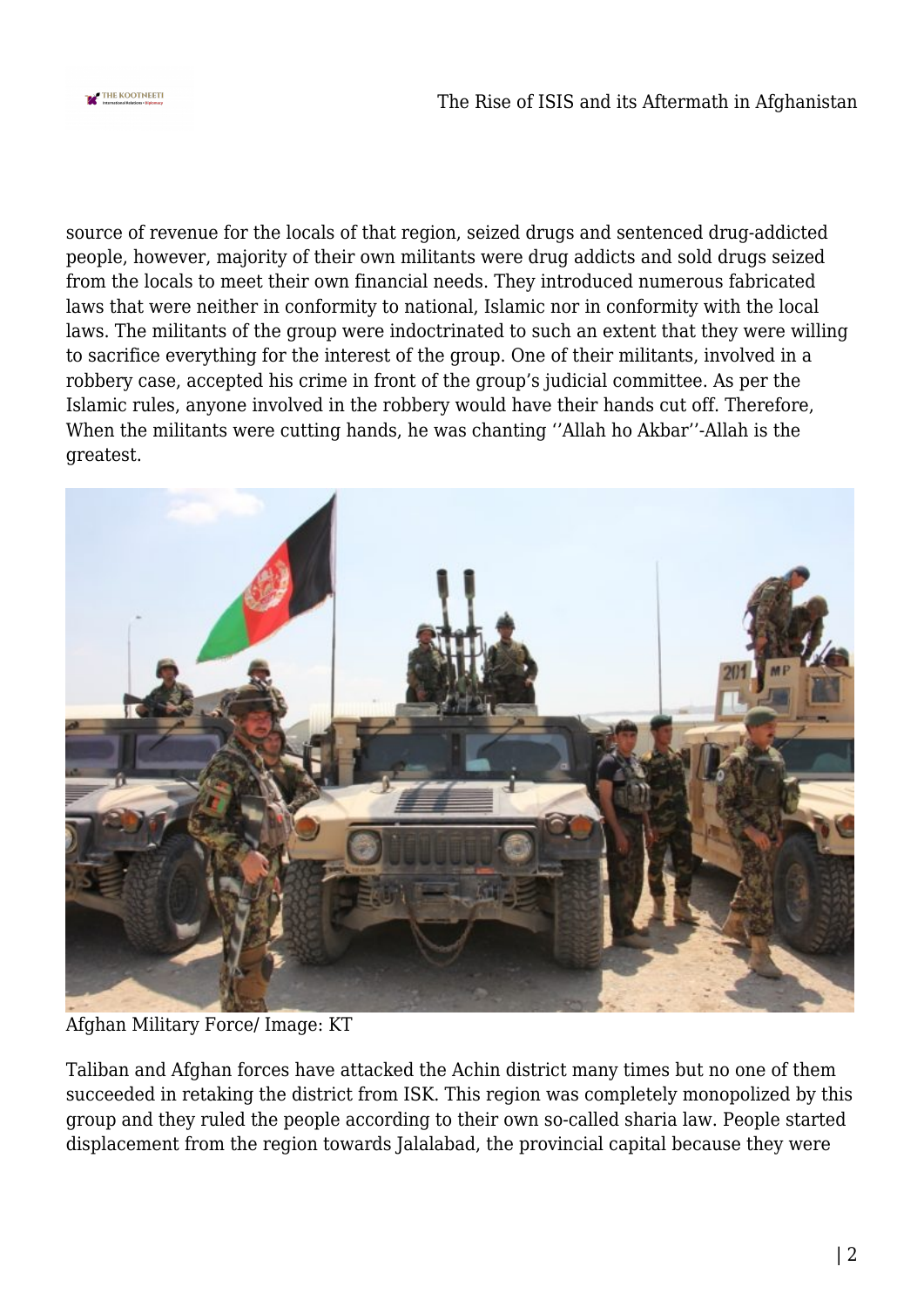

source of revenue for the locals of that region, seized drugs and sentenced drug-addicted people, however, majority of their own militants were drug addicts and sold drugs seized from the locals to meet their own financial needs. They introduced numerous fabricated laws that were neither in conformity to national, Islamic nor in conformity with the local laws. The militants of the group were indoctrinated to such an extent that they were willing to sacrifice everything for the interest of the group. One of their militants, involved in a robbery case, accepted his crime in front of the group's judicial committee. As per the Islamic rules, anyone involved in the robbery would have their hands cut off. Therefore, When the militants were cutting hands, he was chanting ''Allah ho Akbar''-Allah is the greatest.



Afghan Military Force/ Image: KT

Taliban and Afghan forces have attacked the Achin district many times but no one of them succeeded in retaking the district from ISK. This region was completely monopolized by this group and they ruled the people according to their own so-called sharia law. People started displacement from the region towards Jalalabad, the provincial capital because they were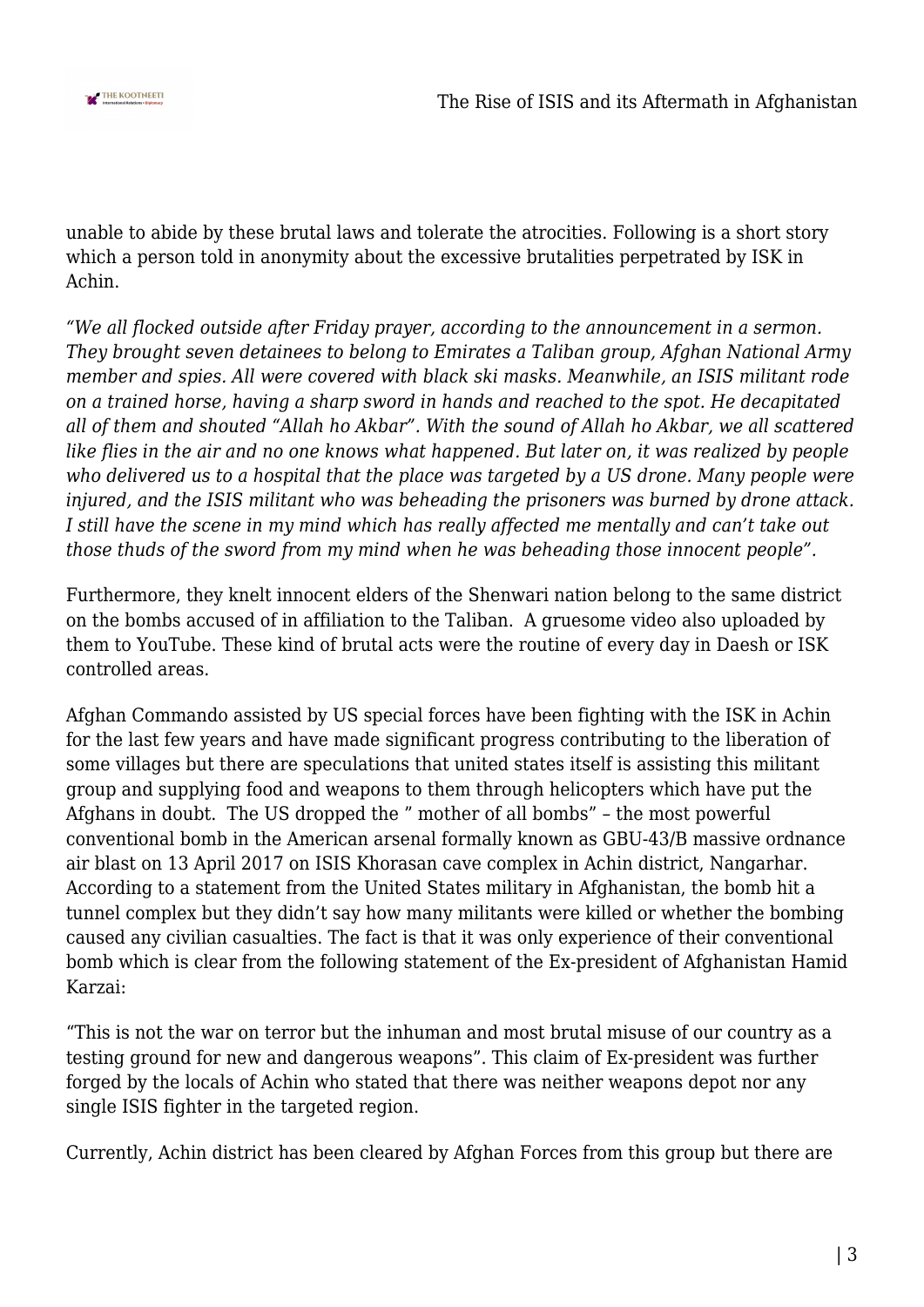

unable to abide by these brutal laws and tolerate the atrocities. Following is a short story which a person told in anonymity about the excessive brutalities perpetrated by ISK in Achin.

*"We all flocked outside after Friday prayer, according to the announcement in a sermon. They brought seven detainees to belong to Emirates a Taliban group, Afghan National Army member and spies. All were covered with black ski masks. Meanwhile, an ISIS militant rode on a trained horse, having a sharp sword in hands and reached to the spot. He decapitated all of them and shouted "Allah ho Akbar". With the sound of Allah ho Akbar, we all scattered like flies in the air and no one knows what happened. But later on, it was realized by people who delivered us to a hospital that the place was targeted by a US drone. Many people were injured, and the ISIS militant who was beheading the prisoners was burned by drone attack. I still have the scene in my mind which has really affected me mentally and can't take out those thuds of the sword from my mind when he was beheading those innocent people".*

Furthermore, they knelt innocent elders of the Shenwari nation belong to the same district on the bombs accused of in affiliation to the Taliban. A gruesome video also uploaded by them to YouTube. These kind of brutal acts were the routine of every day in Daesh or ISK controlled areas.

Afghan Commando assisted by US special forces have been fighting with the ISK in Achin for the last few years and have made significant progress contributing to the liberation of some villages but there are speculations that united states itself is assisting this militant group and supplying food and weapons to them through helicopters which have put the Afghans in doubt. The US dropped the " mother of all bombs" – the most powerful conventional bomb in the American arsenal formally known as GBU-43/B massive ordnance air blast on 13 April 2017 on ISIS Khorasan cave complex in Achin district, Nangarhar. According to a statement from the United States military in Afghanistan, the bomb hit a tunnel complex but they didn't say how many militants were killed or whether the bombing caused any civilian casualties. The fact is that it was only experience of their conventional bomb which is clear from the following statement of the Ex-president of Afghanistan Hamid Karzai:

"This is not the war on terror but the inhuman and most brutal misuse of our country as a testing ground for new and dangerous weapons". This claim of Ex-president was further forged by the locals of Achin who stated that there was neither weapons depot nor any single ISIS fighter in the targeted region.

Currently, Achin district has been cleared by Afghan Forces from this group but there are